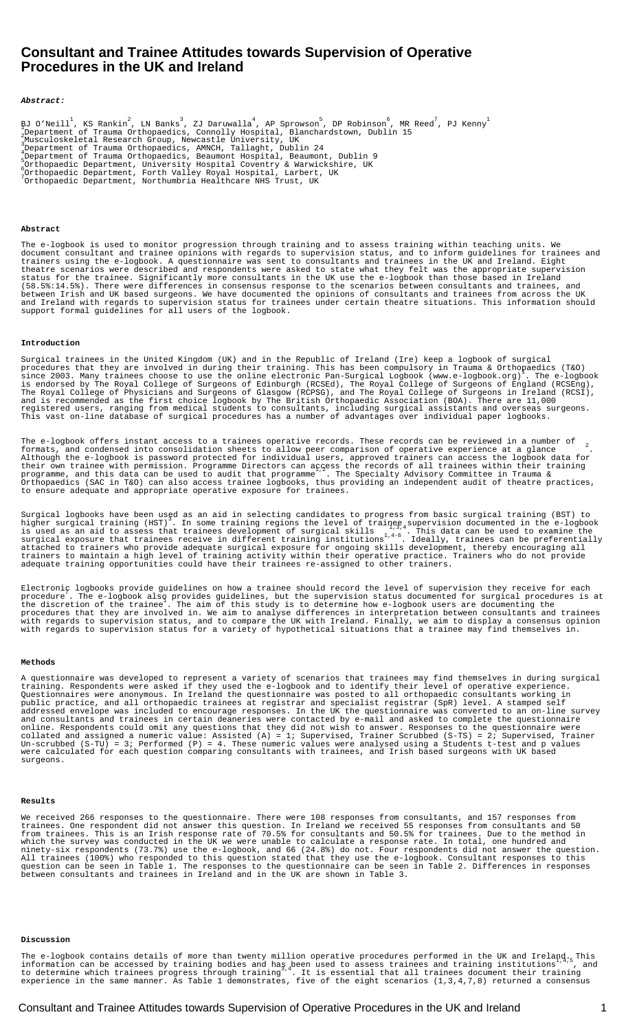# **Consultant and Trainee Attitudes towards Supervision of Operative Procedures in the UK and Ireland**

#### **Abstract:**

BJ O'Neill<sup>1</sup>, KS Rankin<sup>2</sup>, LN Banks<sup>3</sup>, ZJ Daruwalla<sup>4</sup>, AP Sprowson<sup>5</sup>, DP Robinson<sup>6</sup>, MR<br>2Department of Trauma Orthopaedics, Connolly Hospital, Blanchardstown, Dublin 15<br><sup>2</sup> , MR Reed<sup>7</sup>, PJ Kenny<sup>1</sup> wusculoskeletal Research Group, Newcastle University, UK Department of Trauma Orthopaedics, AMNCH, Tallaght, Dublin 24 <sup>4</sup> Department of Trauma Orthopaedics, Beaumont Hospital, Beaumont, Dublin 9 Orthopaedic Department, University Hospital Coventry & Warwickshire, UK <sup>6</sup> ,Orthopaedic Department, Forth Valley Royal Hospital, Larbert, UK<br>Orthopaedic Department, Northumbria Healthcare NHS Trust, UK

## **Abstract**

The e-logbook is used to monitor progression through training and to assess training within teaching units. We document consultant and trainee opinions with regards to supervision status, and to inform guidelines for trainees and trainers using the e-logbook. A questionnaire was sent to consultants and trainees in the UK and Ireland. Eight theatre scenarios were described and respondents were asked to state what they felt was the appropriate supervision status for the trainee. Significantly more consultants in the UK use the e-logbook than those based in Ireland (58.5%:14.5%). There were differences in consensus response to the scenarios between consultants and trainees, and between Irish and UK based surgeons. We have documented the opinions of consultants and trainees from across the UK and Ireland with regards to supervision status for trainees under certain theatre situations. This information should support formal guidelines for all users of the logbook.

## **Introduction**

Surgical trainees in the United Kingdom (UK) and in the Republic of Ireland (Ire) keep a logbook of surgical procedures that they are involved in during their training. This has been compulsory in Trauma & Orthopaedics (T&O)<br>since 2003. Many trainees choose to use the online electronic Pan-Surgical Logbook (www.e-logbook.org) . T . The e-logbook<br>|land (RCSEng), is endorsed by The Royal College of Surgeons of Edinburgh (RCSEd), The Royal College of Surgeons of England (RCSEng), The Royal College of Physicians and Surgeons of Glasgow (RCPSG), and The Royal College of Surgeons in Ireland (RCSI), and is recommended as the first choice logbook by The British Orthopaedic Association (BOA). There are 11,000 registered users, ranging from medical students to consultants, including surgical assistants and overseas surgeons. This vast on-line database of surgical procedures has a number of advantages over individual paper logbooks.

The e-logbook offers instant access to a trainee**â** s operative records. These records can be reviewed in a number of<br>formats, and condensed into **â** consolidation sheets**â** to allow peer comparison of operative experience Although the e-logbook is password protected for individual users, approved trainers can access the logbook data for their own trainee with permission. Programme Directors can access the records of all trainees within their training<br>programme, and this data can be used to audit that programme''. The Specialty Advisory Committee in Trauma Orthopaedics (SAC in T&O) can also access trainee logbooks, thus providing an independent audit of theatre practices, to ensure adequate and appropriate operative exposure for trainees.

Surgical logbooks have been used as an aid in selecting candidates to progress from basic surgical training (BST) to<br>higher surgical training (HST). In some training regions the level of trainee, supervision documented in surgical exposure that trainees receive in different training institutions<sup>14-6</sup>. Ideally, trainees can be preferentially attached to trainers who provide adequate surgical exposure for ongoing skills development, thereby encouraging all trainers to maintain a high level of training activity within their operative practice. Trainers who do not provide adequate training opportunities could have their trainees re-assigned to other trainers.

Electronic logbooks provide guidelines on how a trainee should record the level of supervision they receive for each<br>procedure. The e-logbook also provides guidelines, but the supervision status documented for surgical pro procedures that they are involved in. We aim to analyse differences in interpretation between consultants and trainees with regards to supervision status, and to compare the UK with Ireland. Finally, we aim to display a consensus opinion with regards to supervision status for a variety of hypothetical situations that a trainee may find themselves in.

# **Methods**

A questionnaire was developed to represent a variety of scenarios that trainees may find themselves in during surgical training. Respondents were asked if they used the e-logbook and to identify their level of operative experience. Questionnaires were anonymous. In Ireland the questionnaire was posted to all orthopaedic consultants working in public practice, and all orthopaedic trainees at registrar and specialist registrar (SpR) level. A stamped self addressed envelope was included to encourage responses. In the UK the questionnaire was converted to an on-line survey and consultants and trainees in certain deaneries were contacted by e-mail and asked to complete the questionnaire online. Respondents could omit any questions that they did not wish to answer. Responses to the questionnaire were collated and assigned a numeric value: Assisted (A) = 1; Supervised, Trainer Scrubbed (S-TS) = 2; Supervised, Trainer Un-scrubbed (S-TU) = 3; Performed (P) = 4. These numeric values were analysed using a Student $\hat{\bf a}$  s t-test and p values were calculated for each question comparing consultants with trainees, and Irish based surgeons with UK based surgeons.

### **Results**

We received 266 responses to the questionnaire. There were 108 responses from consultants, and 157 responses from trainees. One respondent did not answer this question. In Ireland we received 55 responses from consultants and 50 from trainees. This is an Irish response rate of 70.5% for consultants and 50.5% for trainees. Due to the method in which the survey was conducted in the UK we were unable to calculate a response rate. In total, one hundred and ninety-six respondents (73.7%) use the e-logbook, and 66 (24.8%) do not. Four respondents did not answer the question. All trainees (100%) who responded to this question stated that they use the e-logbook. Consultant responses to this question can be seen in Table 1. The responses to the questionnaire can be seen in Table 2. Differences in responses between consultants and trainees in Ireland and in the UK are shown in Table 3.

# **Discussion**

The e-logbook contains details of more than twenty million operative procedures performed in the UK and Ireland., This<br>information can be accessed by training bodies and haş been used to assess trainees and training instit to determine which trainees progress through training<sup>3</sup>. It is essential that all trainees document their training<br>to determine which trainees progress through training<sup>34</sup>. It is essential that all trainees document thei experience in the same manner. As Table 1 demonstrates, five of the eight scenarios (1,3,4,7,8) returned a consensus